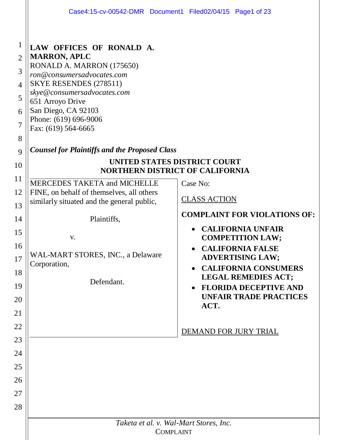|                                                                               | Case4:15-cv-00542-DMR Document1 Filed02/04/15 Page1 of 23                                                                                                                                                                                                                                                              |                                                                                                                                                                                                                                                              |  |  |
|-------------------------------------------------------------------------------|------------------------------------------------------------------------------------------------------------------------------------------------------------------------------------------------------------------------------------------------------------------------------------------------------------------------|--------------------------------------------------------------------------------------------------------------------------------------------------------------------------------------------------------------------------------------------------------------|--|--|
| $\mathbf 1$<br>$\overline{2}$<br>3<br>$\overline{4}$<br>5<br>6<br>7<br>8<br>9 | LAW OFFICES OF RONALD A.<br><b>MARRON, APLC</b><br>RONALD A. MARRON (175650)<br>ron@consumersadvocates.com<br>SKYE RESENDES (278511)<br>skye@consumersadvocates.com<br>651 Arroyo Drive<br>San Diego, CA 92103<br>Phone: (619) 696-9006<br>Fax: (619) 564-6665<br><b>Counsel for Plaintiffs and the Proposed Class</b> |                                                                                                                                                                                                                                                              |  |  |
| 10                                                                            | UNITED STATES DISTRICT COURT<br>NORTHERN DISTRICT OF CALIFORNIA                                                                                                                                                                                                                                                        |                                                                                                                                                                                                                                                              |  |  |
| 11                                                                            | <b>MERCEDES TAKETA and MICHELLE</b>                                                                                                                                                                                                                                                                                    | Case No:                                                                                                                                                                                                                                                     |  |  |
| 12                                                                            | FINE, on behalf of themselves, all others<br>similarly situated and the general public,                                                                                                                                                                                                                                | <b>CLASS ACTION</b>                                                                                                                                                                                                                                          |  |  |
| 13<br>14                                                                      | Plaintiffs,                                                                                                                                                                                                                                                                                                            | <b>COMPLAINT FOR VIOLATIONS OF:</b>                                                                                                                                                                                                                          |  |  |
| 15<br>16<br>17<br>18<br>19<br>20<br>21                                        | V.<br>WAL-MART STORES, INC., a Delaware<br>Corporation,<br>Defendant.                                                                                                                                                                                                                                                  | <b>CALIFORNIA UNFAIR</b><br>$\bullet$<br><b>COMPETITION LAW;</b><br><b>CALIFORNIA FALSE</b><br><b>ADVERTISING LAW;</b><br><b>CALIFORNIA CONSUMERS</b><br><b>LEGAL REMEDIES ACT;</b><br><b>FLORIDA DECEPTIVE AND</b><br><b>UNFAIR TRADE PRACTICES</b><br>ACT. |  |  |
| 22                                                                            |                                                                                                                                                                                                                                                                                                                        | DEMAND FOR JURY TRIAL                                                                                                                                                                                                                                        |  |  |
| 23                                                                            |                                                                                                                                                                                                                                                                                                                        |                                                                                                                                                                                                                                                              |  |  |
| 24                                                                            |                                                                                                                                                                                                                                                                                                                        |                                                                                                                                                                                                                                                              |  |  |
| 25                                                                            |                                                                                                                                                                                                                                                                                                                        |                                                                                                                                                                                                                                                              |  |  |
| 26<br>27                                                                      |                                                                                                                                                                                                                                                                                                                        |                                                                                                                                                                                                                                                              |  |  |
| 28                                                                            |                                                                                                                                                                                                                                                                                                                        |                                                                                                                                                                                                                                                              |  |  |
|                                                                               | Taketa et al. v. Wal-Mart Stores, Inc.<br><b>COMPLAINT</b>                                                                                                                                                                                                                                                             |                                                                                                                                                                                                                                                              |  |  |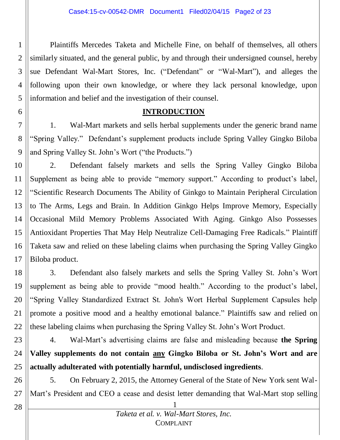1 2 3 4 5 Plaintiffs Mercedes Taketa and Michelle Fine, on behalf of themselves, all others similarly situated, and the general public, by and through their undersigned counsel, hereby sue Defendant Wal-Mart Stores, Inc. ("Defendant" or "Wal-Mart"), and alleges the following upon their own knowledge, or where they lack personal knowledge, upon information and belief and the investigation of their counsel.

### **INTRODUCTION**

7 8 9 1. Wal-Mart markets and sells herbal supplements under the generic brand name "Spring Valley." Defendant's supplement products include Spring Valley Gingko Biloba and Spring Valley St. John's Wort ("the Products.")

10 11 12 13 14 15 16 17 2. Defendant falsely markets and sells the Spring Valley Gingko Biloba Supplement as being able to provide "memory support." According to product's label, "Scientific Research Documents The Ability of Ginkgo to Maintain Peripheral Circulation to The Arms, Legs and Brain. In Addition Ginkgo Helps Improve Memory, Especially Occasional Mild Memory Problems Associated With Aging. Ginkgo Also Possesses Antioxidant Properties That May Help Neutralize Cell-Damaging Free Radicals." Plaintiff Taketa saw and relied on these labeling claims when purchasing the Spring Valley Gingko Biloba product.

18 19 20 21 22 3. Defendant also falsely markets and sells the Spring Valley St. John's Wort supplement as being able to provide "mood health." According to the product's label, "Spring Valley Standardized Extract St. John's Wort Herbal Supplement Capsules help promote a positive mood and a healthy emotional balance." Plaintiffs saw and relied on these labeling claims when purchasing the Spring Valley St. John's Wort Product.

23

6

24 25 4. Wal-Mart's advertising claims are false and misleading because **the Spring Valley supplements do not contain any Gingko Biloba or St. John's Wort and are actually adulterated with potentially harmful, undisclosed ingredients**.

26 27 5. On February 2, 2015, the Attorney General of the State of New York sent Wal-Mart's President and CEO a cease and desist letter demanding that Wal-Mart stop selling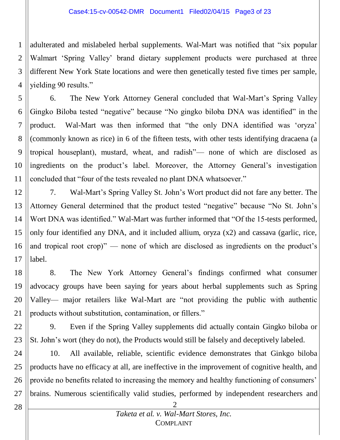1 2 3 4 adulterated and mislabeled herbal supplements. Wal-Mart was notified that "six popular Walmart 'Spring Valley' brand dietary supplement products were purchased at three different New York State locations and were then genetically tested five times per sample, yielding 90 results."

5 6 7 8 9 10 11 6. The New York Attorney General concluded that Wal-Mart's Spring Valley Gingko Biloba tested "negative" because "No gingko biloba DNA was identified" in the product. Wal-Mart was then informed that "the only DNA identified was 'oryza' (commonly known as rice) in 6 of the fifteen tests, with other tests identifying dracaena (a tropical houseplant), mustard, wheat, and radish"— none of which are disclosed as ingredients on the product's label. Moreover, the Attorney General's investigation concluded that "four of the tests revealed no plant DNA whatsoever."

12 13 14 15 16 17 7. Wal-Mart's Spring Valley St. John's Wort product did not fare any better. The Attorney General determined that the product tested "negative" because "No St. John's Wort DNA was identified." Wal-Mart was further informed that "Of the 15-tests performed, only four identified any DNA, and it included allium, oryza (x2) and cassava (garlic, rice, and tropical root crop)" — none of which are disclosed as ingredients on the product's label.

18 19 20 21 8. The New York Attorney General's findings confirmed what consumer advocacy groups have been saying for years about herbal supplements such as Spring Valley— major retailers like Wal-Mart are "not providing the public with authentic products without substitution, contamination, or fillers."

22 23 9. Even if the Spring Valley supplements did actually contain Gingko biloba or St. John's wort (they do not), the Products would still be falsely and deceptively labeled.

24 25 26 27 10. All available, reliable, scientific evidence demonstrates that Ginkgo biloba products have no efficacy at all, are ineffective in the improvement of cognitive health, and provide no benefits related to increasing the memory and healthy functioning of consumers' brains. Numerous scientifically valid studies, performed by independent researchers and

2 *Taketa et al. v. Wal-Mart Stores, Inc.* COMPLAINT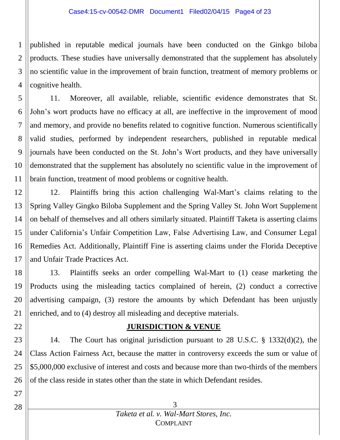1 2 3 4 published in reputable medical journals have been conducted on the Ginkgo biloba products. These studies have universally demonstrated that the supplement has absolutely no scientific value in the improvement of brain function, treatment of memory problems or cognitive health.

5 6 7 8 9 10 11 11. Moreover, all available, reliable, scientific evidence demonstrates that St. John's wort products have no efficacy at all, are ineffective in the improvement of mood and memory, and provide no benefits related to cognitive function. Numerous scientifically valid studies, performed by independent researchers, published in reputable medical journals have been conducted on the St. John's Wort products, and they have universally demonstrated that the supplement has absolutely no scientific value in the improvement of brain function, treatment of mood problems or cognitive health.

12 13 14 15 16 17 12. Plaintiffs bring this action challenging Wal-Mart's claims relating to the Spring Valley Gingko Biloba Supplement and the Spring Valley St. John Wort Supplement on behalf of themselves and all others similarly situated. Plaintiff Taketa is asserting claims under California's Unfair Competition Law, False Advertising Law, and Consumer Legal Remedies Act. Additionally, Plaintiff Fine is asserting claims under the Florida Deceptive and Unfair Trade Practices Act.

18 19 20 21 13. Plaintiffs seeks an order compelling Wal-Mart to (1) cease marketing the Products using the misleading tactics complained of herein, (2) conduct a corrective advertising campaign, (3) restore the amounts by which Defendant has been unjustly enriched, and to (4) destroy all misleading and deceptive materials.

### **JURISDICTION & VENUE**

23 24 25 26 14. The Court has original jurisdiction pursuant to 28 U.S.C. § 1332(d)(2), the Class Action Fairness Act, because the matter in controversy exceeds the sum or value of \$5,000,000 exclusive of interest and costs and because more than two-thirds of the members of the class reside in states other than the state in which Defendant resides.

28

27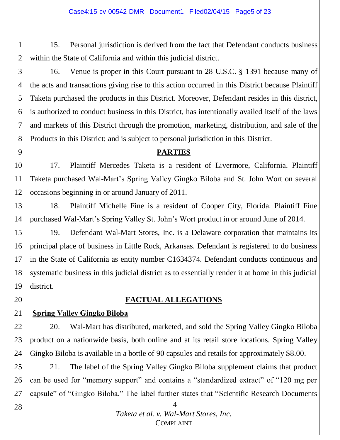15. Personal jurisdiction is derived from the fact that Defendant conducts business within the State of California and within this judicial district.

3 4 5 6 7 8 16. Venue is proper in this Court pursuant to 28 U.S.C. § 1391 because many of the acts and transactions giving rise to this action occurred in this District because Plaintiff Taketa purchased the products in this District. Moreover, Defendant resides in this district, is authorized to conduct business in this District, has intentionally availed itself of the laws and markets of this District through the promotion, marketing, distribution, and sale of the Products in this District; and is subject to personal jurisdiction in this District.

### **PARTIES**

10 11 12 17. Plaintiff Mercedes Taketa is a resident of Livermore, California. Plaintiff Taketa purchased Wal-Mart's Spring Valley Gingko Biloba and St. John Wort on several occasions beginning in or around January of 2011.

13 14 18. Plaintiff Michelle Fine is a resident of Cooper City, Florida. Plaintiff Fine purchased Wal-Mart's Spring Valley St. John's Wort product in or around June of 2014.

15 16 17 18 19 19. Defendant Wal-Mart Stores, Inc. is a Delaware corporation that maintains its principal place of business in Little Rock, Arkansas. Defendant is registered to do business in the State of California as entity number C1634374. Defendant conducts continuous and systematic business in this judicial district as to essentially render it at home in this judicial district.

### **FACTUAL ALLEGATIONS**

21 **Spring Valley Gingko Biloba**

22 23 24 20. Wal-Mart has distributed, marketed, and sold the Spring Valley Gingko Biloba product on a nationwide basis, both online and at its retail store locations. Spring Valley Gingko Biloba is available in a bottle of 90 capsules and retails for approximately \$8.00.

25 26 27 21. The label of the Spring Valley Gingko Biloba supplement claims that product can be used for "memory support" and contains a "standardized extract" of "120 mg per capsule" of "Gingko Biloba." The label further states that "Scientific Research Documents

28

20

1

2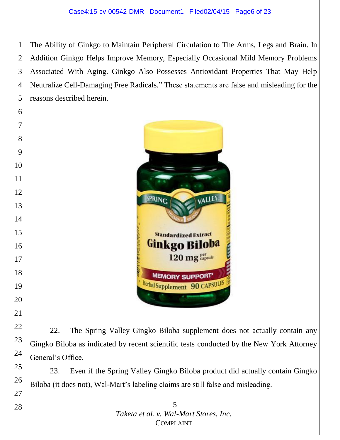The Ability of Ginkgo to Maintain Peripheral Circulation to The Arms, Legs and Brain. In Addition Ginkgo Helps Improve Memory, Especially Occasional Mild Memory Problems Associated With Aging. Ginkgo Also Possesses Antioxidant Properties That May Help Neutralize Cell-Damaging Free Radicals." These statements are false and misleading for the reasons described herein.



22. The Spring Valley Gingko Biloba supplement does not actually contain any Gingko Biloba as indicated by recent scientific tests conducted by the New York Attorney General's Office.

23. Even if the Spring Valley Gingko Biloba product did actually contain Gingko Biloba (it does not), Wal-Mart's labeling claims are still false and misleading.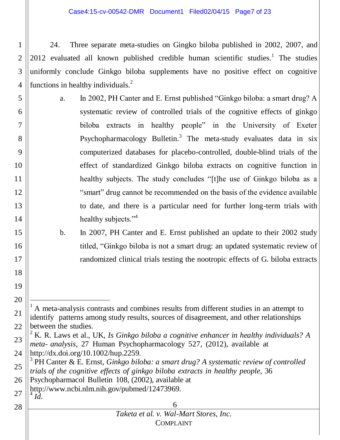Case4:15-cv-00542-DMR Document1 Filed02/04/15 Page7 of 23

1 2 3 4 24. Three separate meta-studies on Gingko biloba published in 2002, 2007, and 2012 evaluated all known published credible human scientific studies.<sup>1</sup> The studies uniformly conclude Ginkgo biloba supplements have no positive effect on cognitive functions in healthy individuals. $<sup>2</sup>$ </sup>

- 5 6 7 10 12 13 14 a. In 2002, PH Canter and E. Ernst published "Ginkgo biloba: a smart drug? A systematic review of controlled trials of the cognitive effects of ginkgo biloba extracts in healthy people" in the University of Exeter Psychopharmacology Bulletin.<sup>3</sup> The meta-study evaluates data in six computerized databases for placebo-controlled, double-blind trials of the effect of standardized Ginkgo biloba extracts on cognitive function in healthy subjects. The study concludes "[t]he use of Ginkgo biloba as a "smart" drug cannot be recommended on the basis of the evidence available to date, and there is a particular need for further long-term trials with healthy subjects."<sup>4</sup>
	- b. In 2007, PH Canter and E. Ernst published an update to their 2002 study titled, "Ginkgo biloba is not a smart drug: an updated systematic review of randomized clinical trials testing the nootropic effects of G. biloba extracts

- 27 [http://www.ncbi.nlm.nih.gov/pubmed/12473969.](http://www.ncbi.nlm.nih.gov/pubmed/12473969)  $\int_0^4 \vec{l} \, d$ .
- 28

8

9

11

15

16

17

18

19

20

 $\overline{a}$ 

<sup>21</sup> 22 <sup>1</sup> A meta-analysis contrasts and combines results from different studies in an attempt to identify patterns among study results, sources of disagreement, and other relationships between the studies.

<sup>23</sup> 24 <sup>2</sup> K. R. Laws et al., UK, *Is Ginkgo biloba a cognitive enhancer in healthy individuals? A meta- analysis*, 27 Human Psychopharmacology 527, (2012), available at http://dx.doi.org/10.1002/hup.2259.

<sup>25</sup> 3 PH Canter & E. Ernst, *Ginkgo biloba: a smart drug? A systematic review of controlled trials of the cognitive effects of ginkgo biloba extracts in healthy people*, 36

<sup>26</sup> Psychopharmacol Bulletin 108, (2002), available at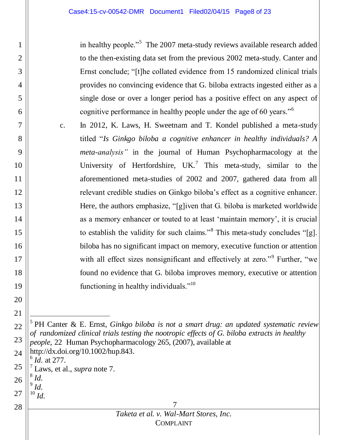in healthy people."<sup>5</sup> The 2007 meta-study reviews available research added to the then-existing data set from the previous 2002 meta-study. Canter and Ernst conclude; "[t]he collated evidence from 15 randomized clinical trials provides no convincing evidence that G. biloba extracts ingested either as a single dose or over a longer period has a positive effect on any aspect of cognitive performance in healthy people under the age of 60 years."<sup>6</sup>

c. In 2012, K. Laws, H. Sweetnam and T. Kondel published a meta-study titled "*Is Ginkgo biloba a cognitive enhancer in healthy individuals? A meta-analysis"* in the journal of Human Psychopharmacology at the University of Hertfordshire, UK.<sup>7</sup> This meta-study, similar to the aforementioned meta-studies of 2002 and 2007, gathered data from all relevant credible studies on Ginkgo biloba's effect as a cognitive enhancer. Here, the authors emphasize, "[g]iven that G. biloba is marketed worldwide as a memory enhancer or touted to at least 'maintain memory', it is crucial to establish the validity for such claims."<sup>8</sup> This meta-study concludes "[g]. biloba has no significant impact on memory, executive function or attention with all effect sizes nonsignificant and effectively at zero."<sup>9</sup> Further, "we found no evidence that G. biloba improves memory, executive or attention functioning in healthy individuals."<sup>10</sup>

5 PH Canter & E. Ernst, *Ginkgo biloba is not a smart drug: an updated systematic review of randomized clinical trials testing the nootropic effects of G. biloba extracts in healthy people*, 22 Human Psychopharmacology 265, (2007), available at

- 24 http://dx.doi.org/10.1002/hup.843.
- 25 6 *Id.* at 277.
	- 7 Laws, et al., *supra* note 7.
- 26 8 *Id.* 9 *Id.*
- 27  $^{10}$  *Id.*

28

1

2

3

4

5

6

7

8

9

10

11

12

13

14

15

16

17

18

19

20

21

l

22

23

7 *Taketa et al. v. Wal-Mart Stores, Inc.* COMPLAINT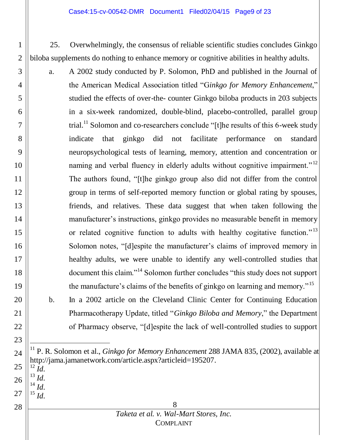#### Case4:15-cv-00542-DMR Document1 Filed02/04/15 Page9 of 23

25. Overwhelmingly, the consensus of reliable scientific studies concludes Ginkgo biloba supplements do nothing to enhance memory or cognitive abilities in healthy adults.

- a. A 2002 study conducted by P. Solomon, PhD and published in the Journal of the American Medical Association titled "G*inkgo for Memory Enhancement*," studied the effects of over-the- counter Ginkgo biloba products in 203 subjects in a six-week randomized, double-blind, placebo-controlled, parallel group trial.<sup>11</sup> Solomon and co-researchers conclude "[t]he results of this 6-week study indicate that ginkgo did not facilitate performance on standard neuropsychological tests of learning, memory, attention and concentration or naming and verbal fluency in elderly adults without cognitive impairment."<sup>12</sup> The authors found, "[t]he ginkgo group also did not differ from the control group in terms of self-reported memory function or global rating by spouses, friends, and relatives. These data suggest that when taken following the manufacturer's instructions, ginkgo provides no measurable benefit in memory or related cognitive function to adults with healthy cogitative function.<sup>"13</sup> Solomon notes, "[d]espite the manufacturer's claims of improved memory in healthy adults, we were unable to identify any well-controlled studies that document this claim."<sup>14</sup> Solomon further concludes "this study does not support the manufacture's claims of the benefits of ginkgo on learning and memory."<sup>15</sup>
	- b. In a 2002 article on the Cleveland Clinic Center for Continuing Education Pharmacotherapy Update, titled "*Ginkgo Biloba and Memory*," the Department of Pharmacy observe, "[d]espite the lack of well-controlled studies to support

24 25 <sup>11</sup> P. R. Solomon et al., *Ginkgo for Memory Enhancement* 288 JAMA 835, (2002), available at [http://jama.jamanetwork.com/article.aspx?articleid=195207.](http://jama.jamanetwork.com/article.aspx?articleid=195207) <sup>12</sup> *Id.*

26  $\frac{13}{14}$  *Id.* <sup>14</sup> *Id.*

l

27 <sup>15</sup> *Id.*

1

2

3

4

5

6

7

8

9

10

11

12

13

14

15

16

17

18

19

20

21

22

23

28

### 8 *Taketa et al. v. Wal-Mart Stores, Inc.* COMPLAINT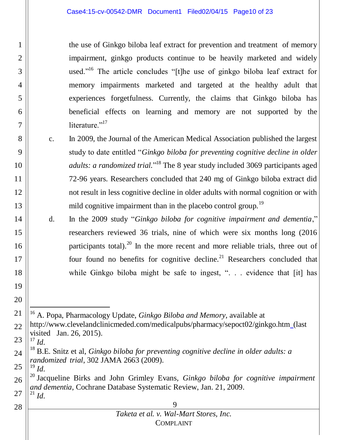the use of Ginkgo biloba leaf extract for prevention and treatment of memory impairment, ginkgo products continue to be heavily marketed and widely used."<sup>16</sup> The article concludes "[t]he use of ginkgo biloba leaf extract for memory impairments marketed and targeted at the healthy adult that experiences forgetfulness. Currently, the claims that Ginkgo biloba has beneficial effects on learning and memory are not supported by the literature<sup>"17</sup>

- c. In 2009, the Journal of the American Medical Association published the largest study to date entitled "*Ginkgo biloba for preventing cognitive decline in older*  adults: a randomized trial."<sup>18</sup> The 8 year study included 3069 participants aged 72-96 years. Researchers concluded that 240 mg of Ginkgo biloba extract did not result in less cognitive decline in older adults with normal cognition or with mild cognitive impairment than in the placebo control group.<sup>19</sup>
- d. In the 2009 study "*Ginkgo biloba for cognitive impairment and dementia*," researchers reviewed 36 trials, nine of which were six months long (2016 participants total).<sup>20</sup> In the more recent and more reliable trials, three out of four found no benefits for cognitive decline.<sup>21</sup> Researchers concluded that while Ginkgo biloba might be safe to ingest, ". . . evidence that [it] has

21 l <sup>16</sup> A. Popa, Pharmacology Update, *Ginkgo Biloba and Memory*, available at

- 22 http://www.clevelandclinicmeded.com/medicalpubs/pharmacy/sepoct02/ginkgo.htm (last visited Jan. 26, 2015).
- 23  $^{17}$  *Id.*

1

2

3

4

5

6

7

8

9

10

11

12

13

14

15

16

17

18

19

20

25

28

<sup>24</sup> <sup>18</sup> B.E. Snitz et al, *Ginkgo biloba for preventing cognitive decline in older adults: a randomized trial*, 302 JAMA 2663 (2009). <sup>19</sup> *Id.*

<sup>26</sup> 27 <sup>20</sup> Jacqueline Birks and John Grimley Evans*, Ginkgo biloba for cognitive impairment and dementia*, Cochrane Database Systematic Review, Jan. 21, 2009.  $^{21}$  *Id*.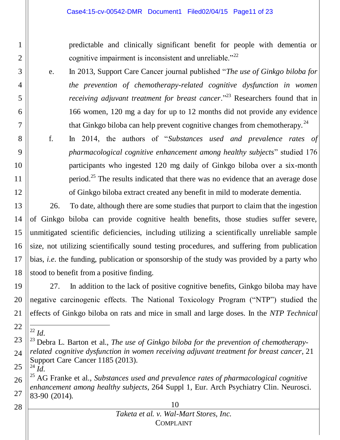predictable and clinically significant benefit for people with dementia or cognitive impairment is inconsistent and unreliable."<sup>22</sup>

- e. In 2013, Support Care Cancer journal published "*The use of Ginkgo biloba for the prevention of chemotherapy-related cognitive dysfunction in women receiving adjuvant treatment for breast cancer.*"<sup>23</sup> Researchers found that in 166 women, 120 mg a day for up to 12 months did not provide any evidence that Ginkgo biloba can help prevent cognitive changes from chemotherapy.<sup>24</sup>
- f. In 2014, the authors of "*Substances used and prevalence rates of pharmacological cognitive enhancement among healthy subjects*" studied 176 participants who ingested 120 mg daily of Ginkgo biloba over a six-month period.<sup>25</sup> The results indicated that there was no evidence that an average dose of Ginkgo biloba extract created any benefit in mild to moderate dementia.
- 13 14 15 16 17 18 26. To date, although there are some studies that purport to claim that the ingestion of Ginkgo biloba can provide cognitive health benefits, those studies suffer severe, unmitigated scientific deficiencies, including utilizing a scientifically unreliable sample size, not utilizing scientifically sound testing procedures, and suffering from publication bias, *i.e*. the funding, publication or sponsorship of the study was provided by a party who stood to benefit from a positive finding.
- 19 20 21 27. In addition to the lack of positive cognitive benefits, Ginkgo biloba may have negative carcinogenic effects. The National Toxicology Program ("NTP") studied the effects of Ginkgo biloba on rats and mice in small and large doses. In the *NTP Technical*
- 22

 $\overline{a}$ 

1

2

3

4

5

6

7

8

9

10

11

12

- 23 24 <sup>22</sup> *Id.* <sup>23</sup> Debra L. Barton et al., *The use of Ginkgo biloba for the prevention of chemotherapyrelated cognitive dysfunction in women receiving adjuvant treatment for breast cancer*, 21 Support Care Cancer 1185 (2013).  $\frac{1}{24}$   $\frac{1}{10}$ .
- 25

28

<sup>26</sup> 27 <sup>25</sup> AG Franke et al., *Substances used and prevalence rates of pharmacological cognitive enhancement among healthy subjects*, 264 Suppl 1, Eur. Arch Psychiatry Clin. Neurosci. 83-90 (2014).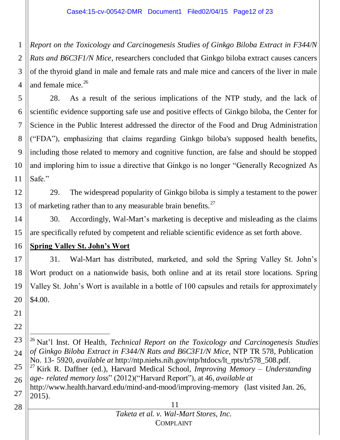1 2 3 4 *Report on the Toxicology and Carcinogenesis Studies of Ginkgo Biloba Extract in F344/N Rats and B6C3F1/N Mice*, researchers concluded that Ginkgo biloba extract causes cancers of the thyroid gland in male and female rats and male mice and cancers of the liver in male and female mice.<sup>26</sup>

5 6 7 8 9 10 11 28. As a result of the serious implications of the NTP study, and the lack of scientific evidence supporting safe use and positive effects of Ginkgo biloba, the Center for Science in the Public Interest addressed the director of the Food and Drug Administration ("FDA"), emphasizing that claims regarding Ginkgo biloba's supposed health benefits, including those related to memory and cognitive function, are false and should be stopped and imploring him to issue a directive that Ginkgo is no longer "Generally Recognized As Safe."

12 13 29. The widespread popularity of Ginkgo biloba is simply a testament to the power of marketing rather than to any measurable brain benefits.<sup>27</sup>

14 15 30. Accordingly, Wal-Mart's marketing is deceptive and misleading as the claims are specifically refuted by competent and reliable scientific evidence as set forth above.

16 **Spring Valley St. John's Wort**

17 18 19 20 31. Wal-Mart has distributed, marketed, and sold the Spring Valley St. John's Wort product on a nationwide basis, both online and at its retail store locations. Spring Valley St. John's Wort is available in a bottle of 100 capsules and retails for approximately \$4.00.

- 21
- 22

 $\overline{a}$ 

23 24 25 <sup>26</sup> Nat'l Inst. Of Health, *Technical Report on the Toxicology and Carcinogenesis Studies of Ginkgo Biloba Extract in F344/N Rats and B6C3F1/N Mice*, NTP TR 578, Publication No. 13- 5920, *available at* [http://ntp.niehs.nih.gov/ntp/htdocs/lt\\_rpts/tr578\\_508.pdf](ntp.niehs.nih.gov/ntp/htdocs/lt_rpts/tr578_508.pdf)*.* <sup>27</sup> Kirk R. Daffner (ed.), Harvard Medical School, *Improving Memory – Understanding age- related memory loss*" (2012)("Harvard Report"), at 46, *available at* 

26 27 http://www.health.harvard.edu/mind-and-mood/improving-memory (last visited Jan. 26, 2015).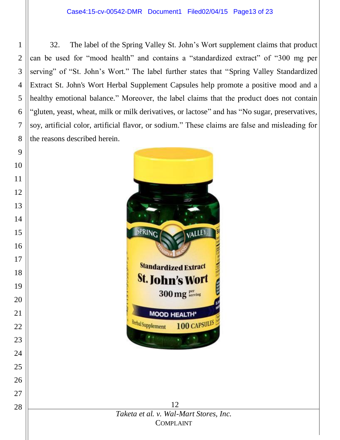32. The label of the Spring Valley St. John's Wort supplement claims that product can be used for "mood health" and contains a "standardized extract" of "300 mg per serving" of "St. John's Wort." The label further states that "Spring Valley Standardized Extract St. John's Wort Herbal Supplement Capsules help promote a positive mood and a healthy emotional balance." Moreover, the label claims that the product does not contain "gluten, yeast, wheat, milk or milk derivatives, or lactose" and has "No sugar, preservatives, soy, artificial color, artificial flavor, or sodium." These claims are false and misleading for the reasons described herein.

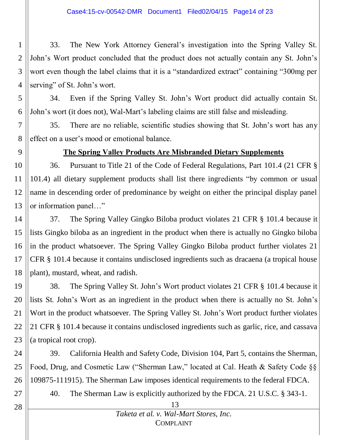1 2 3 4 33. The New York Attorney General's investigation into the Spring Valley St. John's Wort product concluded that the product does not actually contain any St. John's wort even though the label claims that it is a "standardized extract" containing "300mg per serving" of St. John's wort.

5 6 34. Even if the Spring Valley St. John's Wort product did actually contain St. John's wort (it does not), Wal-Mart's labeling claims are still false and misleading.

7 8 35. There are no reliable, scientific studies showing that St. John's wort has any effect on a user's mood or emotional balance.

9

### **The Spring Valley Products Are Misbranded Dietary Supplements**

10 11 12 13 36. Pursuant to Title 21 of the Code of Federal Regulations, Part 101.4 (21 CFR § 101.4) all dietary supplement products shall list there ingredients "by common or usual name in descending order of predominance by weight on either the principal display panel or information panel…"

14 15 16 17 18 37. The Spring Valley Gingko Biloba product violates 21 CFR § 101.4 because it lists Gingko biloba as an ingredient in the product when there is actually no Gingko biloba in the product whatsoever. The Spring Valley Gingko Biloba product further violates 21 CFR § 101.4 because it contains undisclosed ingredients such as dracaena (a tropical house plant), mustard, wheat, and radish.

19 20 21 22 23 38. The Spring Valley St. John's Wort product violates 21 CFR § 101.4 because it lists St. John's Wort as an ingredient in the product when there is actually no St. John's Wort in the product whatsoever. The Spring Valley St. John's Wort product further violates 21 CFR § 101.4 because it contains undisclosed ingredients such as garlic, rice, and cassava (a tropical root crop).

24 25 26 39. California Health and Safety Code, Division 104, Part 5, contains the Sherman, Food, Drug, and Cosmetic Law ("Sherman Law," located at Cal. Heath & Safety Code §§ 109875-111915). The Sherman Law imposes identical requirements to the federal FDCA.

27

40. The Sherman Law is explicitly authorized by the FDCA. 21 U.S.C. § 343-1.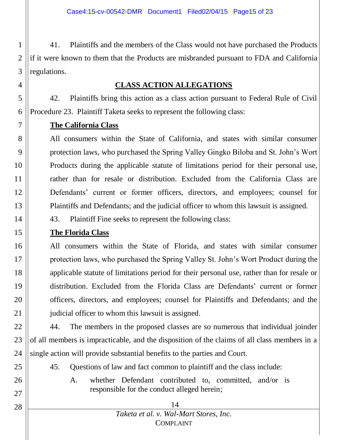1 2 3 41. Plaintiffs and the members of the Class would not have purchased the Products if it were known to them that the Products are misbranded pursuant to FDA and California regulations.

### **CLASS ACTION ALLEGATIONS**

42. Plaintiffs bring this action as a class action pursuant to Federal Rule of Civil Procedure 23. Plaintiff Taketa seeks to represent the following class:

**The California Class**

8 9 10 11 12 13 All consumers within the State of California, and states with similar consumer protection laws, who purchased the Spring Valley Gingko Biloba and St. John's Wort Products during the applicable statute of limitations period for their personal use, rather than for resale or distribution. Excluded from the California Class are Defendants' current or former officers, directors, and employees; counsel for Plaintiffs and Defendants; and the judicial officer to whom this lawsuit is assigned.

14 43. Plaintiff Fine seeks to represent the following class:

#### 15 **The Florida Class**

16 17 18 19 20 21 All consumers within the State of Florida, and states with similar consumer protection laws, who purchased the Spring Valley St. John's Wort Product during the applicable statute of limitations period for their personal use, rather than for resale or distribution. Excluded from the Florida Class are Defendants' current or former officers, directors, and employees; counsel for Plaintiffs and Defendants; and the judicial officer to whom this lawsuit is assigned.

22 23 24 44. The members in the proposed classes are so numerous that individual joinder of all members is impracticable, and the disposition of the claims of all class members in a single action will provide substantial benefits to the parties and Court.

25 26

27

28

4

5

6

7

45. Questions of law and fact common to plaintiff and the class include:

A. whether Defendant contributed to, committed, and/or is responsible for the conduct alleged herein;

### 14 *Taketa et al. v. Wal-Mart Stores, Inc.* COMPLAINT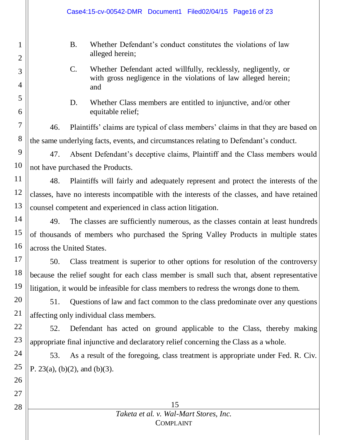|                     | Case4:15-cv-00542-DMR Document1 Filed02/04/15 Page16 of 23                                                                                                |  |  |
|---------------------|-----------------------------------------------------------------------------------------------------------------------------------------------------------|--|--|
| 1<br>$\overline{2}$ | Whether Defendant's conduct constitutes the violations of law<br><b>B.</b><br>alleged herein;                                                             |  |  |
| 3<br>$\overline{4}$ | Whether Defendant acted willfully, recklessly, negligently, or<br>$\mathbf{C}$ .<br>with gross negligence in the violations of law alleged herein;<br>and |  |  |
| 5<br>6              | D.<br>Whether Class members are entitled to injunctive, and/or other<br>equitable relief;                                                                 |  |  |
| 7                   | Plaintiffs' claims are typical of class members' claims in that they are based on<br>46.                                                                  |  |  |
| 8                   | the same underlying facts, events, and circumstances relating to Defendant's conduct.                                                                     |  |  |
| 9                   | Absent Defendant's deceptive claims, Plaintiff and the Class members would<br>47.                                                                         |  |  |
| 10                  | not have purchased the Products.                                                                                                                          |  |  |
| 11                  | Plaintiffs will fairly and adequately represent and protect the interests of the<br>48.                                                                   |  |  |
| 12                  | classes, have no interests incompatible with the interests of the classes, and have retained                                                              |  |  |
| 13                  | counsel competent and experienced in class action litigation.                                                                                             |  |  |
| 14                  | The classes are sufficiently numerous, as the classes contain at least hundreds<br>49.                                                                    |  |  |
| 15                  | of thousands of members who purchased the Spring Valley Products in multiple states                                                                       |  |  |
| 16                  | across the United States.                                                                                                                                 |  |  |
| 17                  | 50.<br>Class treatment is superior to other options for resolution of the controversy                                                                     |  |  |
| 18                  | because the relief sought for each class member is small such that, absent representative                                                                 |  |  |
| 19                  | litigation, it would be infeasible for class members to redress the wrongs done to them.                                                                  |  |  |
| 20                  | Questions of law and fact common to the class predominate over any questions<br>51.                                                                       |  |  |
| 21                  | affecting only individual class members.                                                                                                                  |  |  |
| 22                  | 52.<br>Defendant has acted on ground applicable to the Class, thereby making                                                                              |  |  |
| 23                  | appropriate final injunctive and declaratory relief concerning the Class as a whole.                                                                      |  |  |
| 24                  | As a result of the foregoing, class treatment is appropriate under Fed. R. Civ.<br>53.                                                                    |  |  |
| 25                  | P. 23(a), (b)(2), and (b)(3).                                                                                                                             |  |  |
| 26                  |                                                                                                                                                           |  |  |
| 27                  |                                                                                                                                                           |  |  |
| 28                  | 15                                                                                                                                                        |  |  |
|                     | Taketa et al. v. Wal-Mart Stores, Inc.<br><b>COMPLAINT</b>                                                                                                |  |  |
|                     |                                                                                                                                                           |  |  |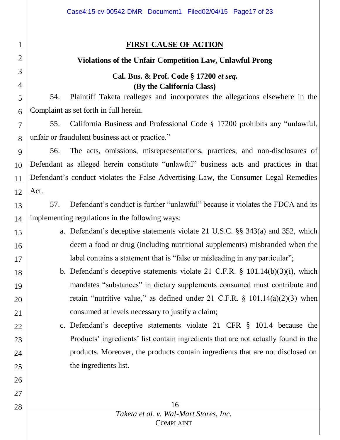### **FIRST CAUSE OF ACTION**

1

2

3

4

5

6

15

16

17

18

19

20

21

22

23

24

25

26

27

28

### **Violations of the Unfair Competition Law, Unlawful Prong**

### **Cal. Bus. & Prof. Code § 17200** *et seq.* **(By the California Class)**

54. Plaintiff Taketa realleges and incorporates the allegations elsewhere in the Complaint as set forth in full herein.

7 8 55. California Business and Professional Code § 17200 prohibits any "unlawful, unfair or fraudulent business act or practice."

9 10 11 12 56. The acts, omissions, misrepresentations, practices, and non-disclosures of Defendant as alleged herein constitute "unlawful" business acts and practices in that Defendant's conduct violates the False Advertising Law, the Consumer Legal Remedies Act.

13 14 57. Defendant's conduct is further "unlawful" because it violates the FDCA and its implementing regulations in the following ways:

- a. Defendant's deceptive statements violate 21 U.S.C. §§ 343(a) and 352, which deem a food or drug (including nutritional supplements) misbranded when the label contains a statement that is "false or misleading in any particular";
- b. Defendant's deceptive statements violate 21 C.F.R. § 101.14(b)(3)(i), which mandates "substances" in dietary supplements consumed must contribute and retain "nutritive value," as defined under 21 C.F.R.  $\S$  101.14(a)(2)(3) when consumed at levels necessary to justify a claim;
- c. Defendant's deceptive statements violate 21 CFR § 101.4 because the Products' ingredients' list contain ingredients that are not actually found in the products. Moreover, the products contain ingredients that are not disclosed on the ingredients list.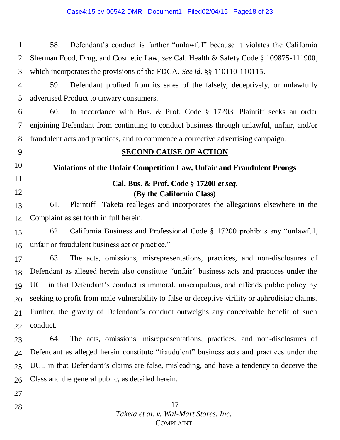1 2 3 58. Defendant's conduct is further "unlawful" because it violates the California Sherman Food, Drug, and Cosmetic Law, *see* Cal. Health & Safety Code § 109875-111900, which incorporates the provisions of the FDCA*. See id.* §§ 110110-110115.

4 5 59. Defendant profited from its sales of the falsely, deceptively, or unlawfully advertised Product to unwary consumers.

6 7 8 60. In accordance with Bus. & Prof. Code § 17203, Plaintiff seeks an order enjoining Defendant from continuing to conduct business through unlawful, unfair, and/or fraudulent acts and practices, and to commence a corrective advertising campaign.

## **SECOND CAUSE OF ACTION**

**Violations of the Unfair Competition Law, Unfair and Fraudulent Prongs**

### **Cal. Bus. & Prof. Code § 17200** *et seq.* **(By the California Class)**

13 14 61. Plaintiff Taketa realleges and incorporates the allegations elsewhere in the Complaint as set forth in full herein.

15 16 62. California Business and Professional Code § 17200 prohibits any "unlawful, unfair or fraudulent business act or practice."

17 18 19 20 21 22 63. The acts, omissions, misrepresentations, practices, and non-disclosures of Defendant as alleged herein also constitute "unfair" business acts and practices under the UCL in that Defendant's conduct is immoral, unscrupulous, and offends public policy by seeking to profit from male vulnerability to false or deceptive virility or aphrodisiac claims. Further, the gravity of Defendant's conduct outweighs any conceivable benefit of such conduct.

23 24 25 26 64. The acts, omissions, misrepresentations, practices, and non-disclosures of Defendant as alleged herein constitute "fraudulent" business acts and practices under the UCL in that Defendant's claims are false, misleading, and have a tendency to deceive the Class and the general public, as detailed herein.

### 17 *Taketa et al. v. Wal-Mart Stores, Inc.* COMPLAINT

28

27

9

10

11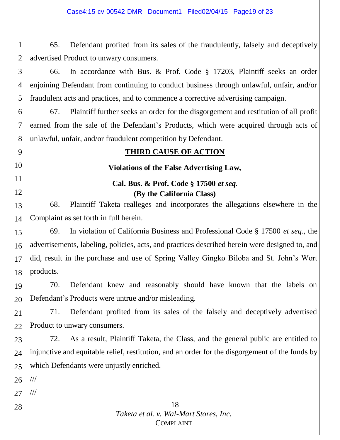1 2 65. Defendant profited from its sales of the fraudulently, falsely and deceptively advertised Product to unwary consumers.

3 4 5 66. In accordance with Bus. & Prof. Code § 17203, Plaintiff seeks an order enjoining Defendant from continuing to conduct business through unlawful, unfair, and/or fraudulent acts and practices, and to commence a corrective advertising campaign.

6 7 8 67. Plaintiff further seeks an order for the disgorgement and restitution of all profit earned from the sale of the Defendant's Products, which were acquired through acts of unlawful, unfair, and/or fraudulent competition by Defendant.

### **THIRD CAUSE OF ACTION**

### **Violations of the False Advertising Law,**

### **Cal. Bus. & Prof. Code § 17500** *et seq.* **(By the California Class)**

13 14 68. Plaintiff Taketa realleges and incorporates the allegations elsewhere in the Complaint as set forth in full herein.

15 16 17 18 69. In violation of California Business and Professional Code § 17500 *et seq*., the advertisements, labeling, policies, acts, and practices described herein were designed to, and did, result in the purchase and use of Spring Valley Gingko Biloba and St. John's Wort products.

19 20 70. Defendant knew and reasonably should have known that the labels on Defendant's Products were untrue and/or misleading.

21 22 71. Defendant profited from its sales of the falsely and deceptively advertised Product to unwary consumers.

23 24 25 72. As a result, Plaintiff Taketa, the Class, and the general public are entitled to injunctive and equitable relief, restitution, and an order for the disgorgement of the funds by which Defendants were unjustly enriched.

26 ///

9

10

11

12

27 ///

28

### 18 *Taketa et al. v. Wal-Mart Stores, Inc.* COMPLAINT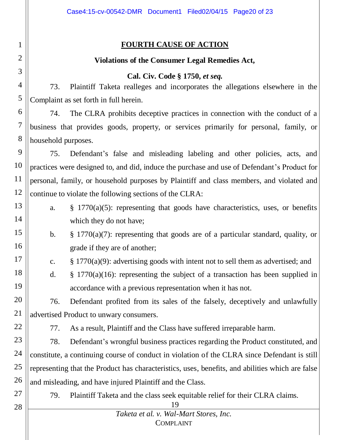### **FOURTH CAUSE OF ACTION**

### **Violations of the Consumer Legal Remedies Act,**

### **Cal. Civ. Code § 1750,** *et seq.*

73. Plaintiff Taketa realleges and incorporates the allegations elsewhere in the Complaint as set forth in full herein.

6 7 8 74. The CLRA prohibits deceptive practices in connection with the conduct of a business that provides goods, property, or services primarily for personal, family, or household purposes.

9 10 11 12 75. Defendant's false and misleading labeling and other policies, acts, and practices were designed to, and did, induce the purchase and use of Defendant's Product for personal, family, or household purposes by Plaintiff and class members, and violated and continue to violate the following sections of the CLRA:

- 13 14 a. § 1770(a)(5): representing that goods have characteristics, uses, or benefits which they do not have;
- 15 16 b. § 1770(a)(7): representing that goods are of a particular standard, quality, or grade if they are of another;
	- c.  $\S 1770(a)(9)$ : advertising goods with intent not to sell them as advertised; and
	- d. § 1770(a)(16): representing the subject of a transaction has been supplied in accordance with a previous representation when it has not.

20 21 76. Defendant profited from its sales of the falsely, deceptively and unlawfully advertised Product to unwary consumers.

77. As a result, Plaintiff and the Class have suffered irreparable harm.

23 24 25 26 78. Defendant's wrongful business practices regarding the Product constituted, and constitute, a continuing course of conduct in violation of the CLRA since Defendant is still representing that the Product has characteristics, uses, benefits, and abilities which are false and misleading, and have injured Plaintiff and the Class.

27

17

18

19

22

1

2

3

4

5

79. Plaintiff Taketa and the class seek equitable relief for their CLRA claims.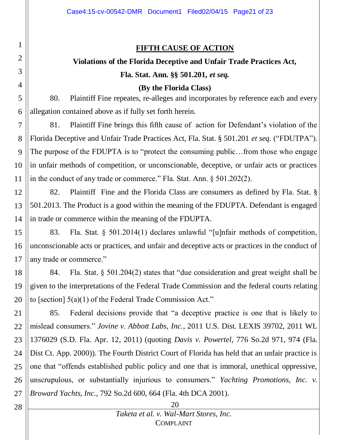### **FIFTH CAUSE OF ACTION**

# **Violations of the Florida Deceptive and Unfair Trade Practices Act, Fla. Stat. Ann. §§ 501.201,** *et seq.*

**(By the Florida Class)**

5 6 80. Plaintiff Fine repeates, re-alleges and incorporates by reference each and every allegation contained above as if fully set forth herein.

7 8 9 10 11 81. Plaintiff Fine brings this fifth cause of action for Defendant's violation of the Florida Deceptive and Unfair Trade Practices Act, Fla. Stat. § 501.201 *et seq.* ("FDUTPA"). The purpose of the FDUPTA is to "protect the consuming public... from those who engage in unfair methods of competition, or unconscionable, deceptive, or unfair acts or practices in the conduct of any trade or commerce." Fla. Stat. Ann. § 501.202(2).

12 13 14 82. Plaintiff Fine and the Florida Class are consumers as defined by Fla. Stat. § 501.2013. The Product is a good within the meaning of the FDUPTA. Defendant is engaged in trade or commerce within the meaning of the FDUPTA.

15 16 17 83. Fla. Stat. § 501.2014(1) declares unlawful "[u]nfair methods of competition, unconscionable acts or practices, and unfair and deceptive acts or practices in the conduct of any trade or commerce."

18 19 20 84. Fla. Stat. § 501.204(2) states that "due consideration and great weight shall be given to the interpretations of the Federal Trade Commission and the federal courts relating to [section] 5(a)(1) of the Federal Trade Commission Act."

21 22 23 24 25 26 27 85. Federal decisions provide that "a deceptive practice is one that is likely to mislead consumers." *Jovine v. Abbott Labs, Inc.*, 2011 U.S. Dist. LEXIS 39702, 2011 WL 1376029 (S.D. Fla. Apr. 12, 2011) (quoting *Davis v. Powertel*, 776 So.2d 971, 974 (Fla. Dist Ct. App. 2000)). The Fourth District Court of Florida has held that an unfair practice is one that "offends established public policy and one that is immoral, unethical oppressive, unscrupulous, or substantially injurious to consumers." *Yachting Promotions, Inc. v. Broward Yachts, Inc.*, 792 So.2d 600, 664 (Fla. 4th DCA 2001).

28

1

2

3

4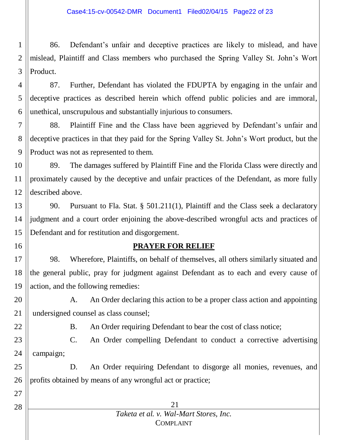1 2 3 86. Defendant's unfair and deceptive practices are likely to mislead, and have mislead, Plaintiff and Class members who purchased the Spring Valley St. John's Wort Product.

4 5 6 87. Further, Defendant has violated the FDUPTA by engaging in the unfair and deceptive practices as described herein which offend public policies and are immoral, unethical, unscrupulous and substantially injurious to consumers.

7 8 9 88. Plaintiff Fine and the Class have been aggrieved by Defendant's unfair and deceptive practices in that they paid for the Spring Valley St. John's Wort product, but the Product was not as represented to them.

10 11 12 89. The damages suffered by Plaintiff Fine and the Florida Class were directly and proximately caused by the deceptive and unfair practices of the Defendant, as more fully described above.

13 14 15 90. Pursuant to Fla. Stat. § 501.211(1), Plaintiff and the Class seek a declaratory judgment and a court order enjoining the above-described wrongful acts and practices of Defendant and for restitution and disgorgement.

16

### **PRAYER FOR RELIEF**

17 18 19 98. Wherefore, Plaintiffs, on behalf of themselves, all others similarly situated and the general public, pray for judgment against Defendant as to each and every cause of action, and the following remedies:

20 21 A. An Order declaring this action to be a proper class action and appointing undersigned counsel as class counsel;

22

27

28

B. An Order requiring Defendant to bear the cost of class notice;

23 24 C. An Order compelling Defendant to conduct a corrective advertising campaign;

25 26 D. An Order requiring Defendant to disgorge all monies, revenues, and profits obtained by means of any wrongful act or practice;

| 21                                     |  |
|----------------------------------------|--|
| Taketa et al. v. Wal-Mart Stores, Inc. |  |
| <b>COMPLAINT</b>                       |  |